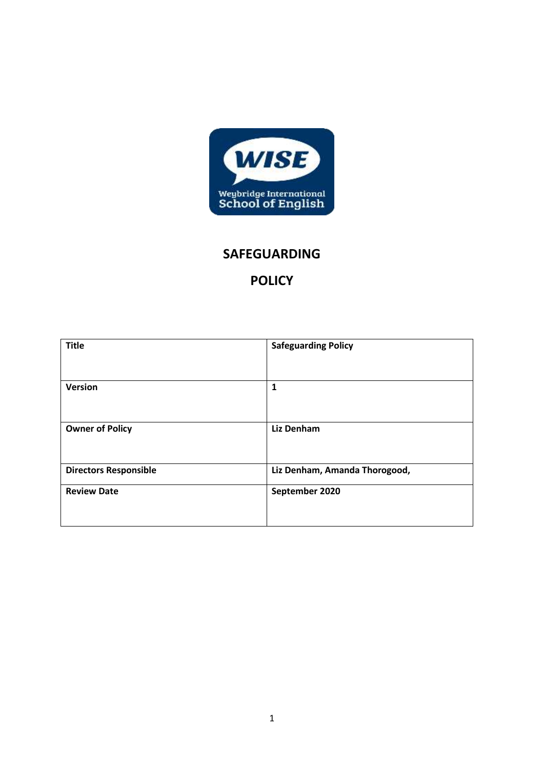

# **SAFEGUARDING**

# **POLICY**

| <b>Title</b>                 | <b>Safeguarding Policy</b>    |  |
|------------------------------|-------------------------------|--|
|                              |                               |  |
| <b>Version</b>               | 1                             |  |
|                              |                               |  |
| <b>Owner of Policy</b>       | <b>Liz Denham</b>             |  |
|                              |                               |  |
| <b>Directors Responsible</b> | Liz Denham, Amanda Thorogood, |  |
| <b>Review Date</b>           | September 2020                |  |
|                              |                               |  |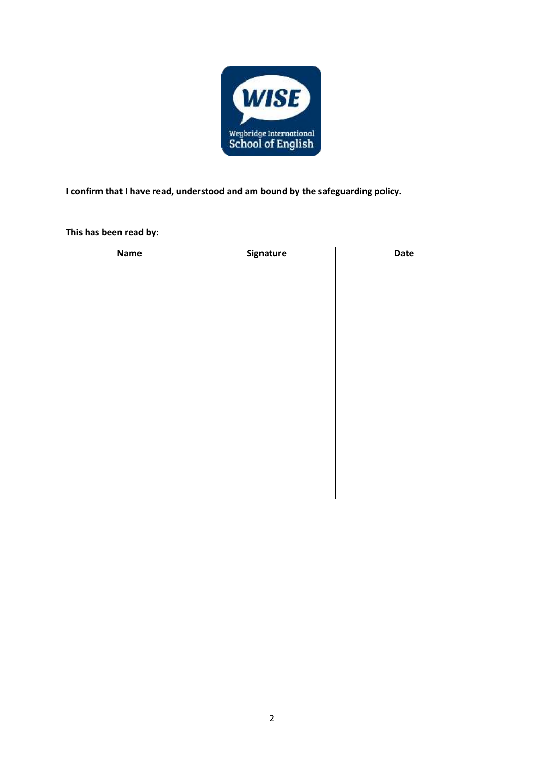

**I confirm that I have read, understood and am bound by the safeguarding policy.** 

# **This has been read by:**

| Name | Signature | Date |
|------|-----------|------|
|      |           |      |
|      |           |      |
|      |           |      |
|      |           |      |
|      |           |      |
|      |           |      |
|      |           |      |
|      |           |      |
|      |           |      |
|      |           |      |
|      |           |      |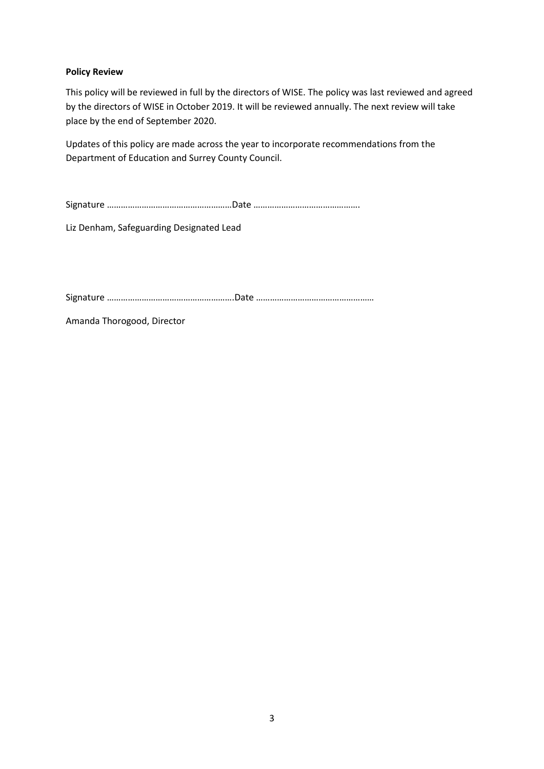# **Policy Review**

This policy will be reviewed in full by the directors of WISE. The policy was last reviewed and agreed by the directors of WISE in October 2019. It will be reviewed annually. The next review will take place by the end of September 2020.

Updates of this policy are made across the year to incorporate recommendations from the Department of Education and Surrey County Council.

Signature ………………………………………………Date ……………………………………….

Liz Denham, Safeguarding Designated Lead

Signature ……………………………………………….Date ……………………………………………

Amanda Thorogood, Director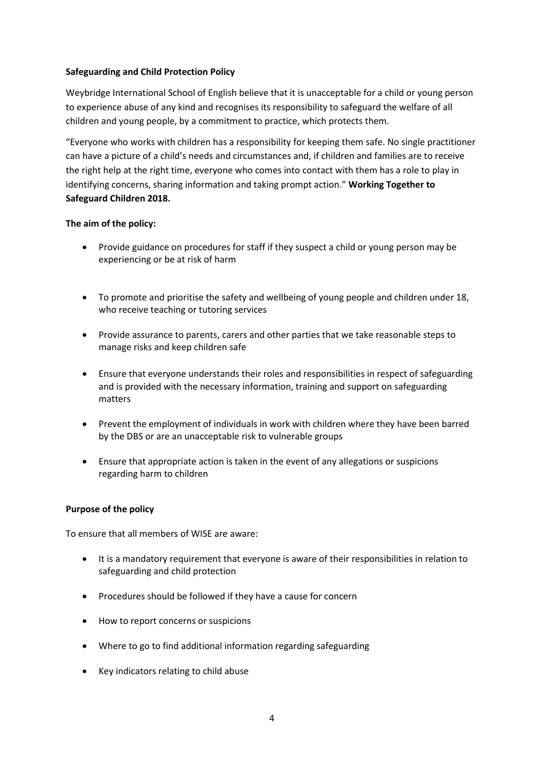# **Safeguarding and Child Protection Policy**

Weybridge International School of English believe that it is unacceptable for a child or young person to experience abuse of any kind and recognises its responsibility to safeguard the welfare of all children and young people, by a commitment to practice, which protects them.

"Everyone who works with children has a responsibility for keeping them safe. No single practitioner can have a picture of a child's needs and circumstances and, if children and families are to receive the right help at the right time, everyone who comes into contact with them has a role to play in identifying concerns, sharing information and taking prompt action." **Working Together to Safeguard Children 2018.**

# **The aim of the policy:**

- Provide guidance on procedures for staff if they suspect a child or young person may be experiencing or be at risk of harm
- To promote and prioritise the safety and wellbeing of young people and children under 18, who receive teaching or tutoring services
- Provide assurance to parents, carers and other parties that we take reasonable steps to manage risks and keep children safe
- Ensure that everyone understands their roles and responsibilities in respect of safeguarding and is provided with the necessary information, training and support on safeguarding matters
- Prevent the employment of individuals in work with children where they have been barred by the DBS or are an unacceptable risk to vulnerable groups
- Ensure that appropriate action is taken in the event of any allegations or suspicions regarding harm to children

### **Purpose of the policy**

To ensure that all members of WISE are aware:

- It is a mandatory requirement that everyone is aware of their responsibilities in relation to safeguarding and child protection
- Procedures should be followed if they have a cause for concern
- How to report concerns or suspicions
- Where to go to find additional information regarding safeguarding
- Key indicators relating to child abuse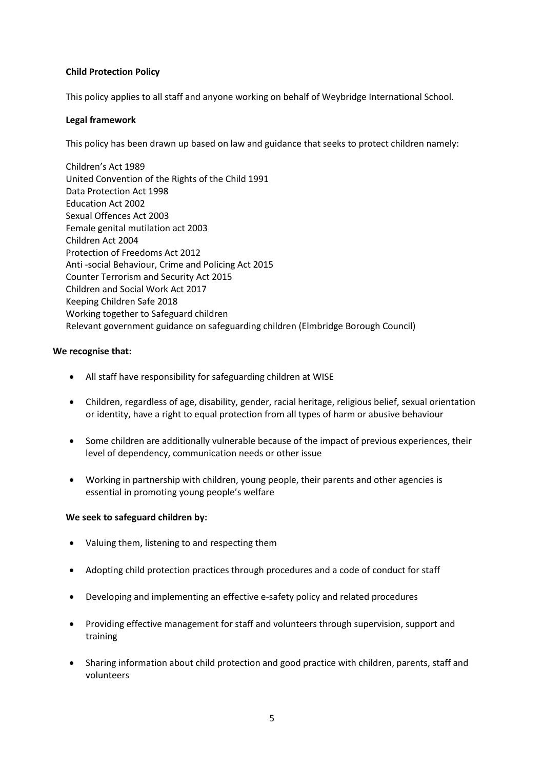# **Child Protection Policy**

This policy applies to all staff and anyone working on behalf of Weybridge International School.

### **Legal framework**

This policy has been drawn up based on law and guidance that seeks to protect children namely:

Children's Act 1989 United Convention of the Rights of the Child 1991 Data Protection Act 1998 Education Act 2002 Sexual Offences Act 2003 Female genital mutilation act 2003 Children Act 2004 Protection of Freedoms Act 2012 Anti -social Behaviour, Crime and Policing Act 2015 Counter Terrorism and Security Act 2015 Children and Social Work Act 2017 Keeping Children Safe 2018 Working together to Safeguard children Relevant government guidance on safeguarding children (Elmbridge Borough Council)

# **We recognise that:**

- All staff have responsibility for safeguarding children at WISE
- Children, regardless of age, disability, gender, racial heritage, religious belief, sexual orientation or identity, have a right to equal protection from all types of harm or abusive behaviour
- Some children are additionally vulnerable because of the impact of previous experiences, their level of dependency, communication needs or other issue
- Working in partnership with children, young people, their parents and other agencies is essential in promoting young people's welfare

### **We seek to safeguard children by:**

- Valuing them, listening to and respecting them
- Adopting child protection practices through procedures and a code of conduct for staff
- Developing and implementing an effective e-safety policy and related procedures
- Providing effective management for staff and volunteers through supervision, support and training
- Sharing information about child protection and good practice with children, parents, staff and volunteers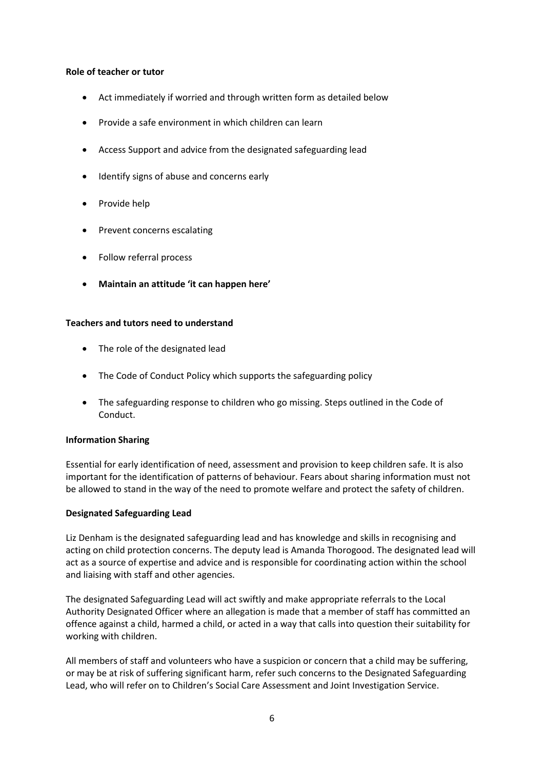### **Role of teacher or tutor**

- Act immediately if worried and through written form as detailed below
- Provide a safe environment in which children can learn
- Access Support and advice from the designated safeguarding lead
- Identify signs of abuse and concerns early
- Provide help
- Prevent concerns escalating
- Follow referral process
- **Maintain an attitude 'it can happen here'**

# **Teachers and tutors need to understand**

- The role of the designated lead
- The Code of Conduct Policy which supports the safeguarding policy
- The safeguarding response to children who go missing. Steps outlined in the Code of Conduct.

# **Information Sharing**

Essential for early identification of need, assessment and provision to keep children safe. It is also important for the identification of patterns of behaviour. Fears about sharing information must not be allowed to stand in the way of the need to promote welfare and protect the safety of children.

# **Designated Safeguarding Lead**

Liz Denham is the designated safeguarding lead and has knowledge and skills in recognising and acting on child protection concerns. The deputy lead is Amanda Thorogood. The designated lead will act as a source of expertise and advice and is responsible for coordinating action within the school and liaising with staff and other agencies.

The designated Safeguarding Lead will act swiftly and make appropriate referrals to the Local Authority Designated Officer where an allegation is made that a member of staff has committed an offence against a child, harmed a child, or acted in a way that calls into question their suitability for working with children.

All members of staff and volunteers who have a suspicion or concern that a child may be suffering, or may be at risk of suffering significant harm, refer such concerns to the Designated Safeguarding Lead, who will refer on to Children's Social Care Assessment and Joint Investigation Service.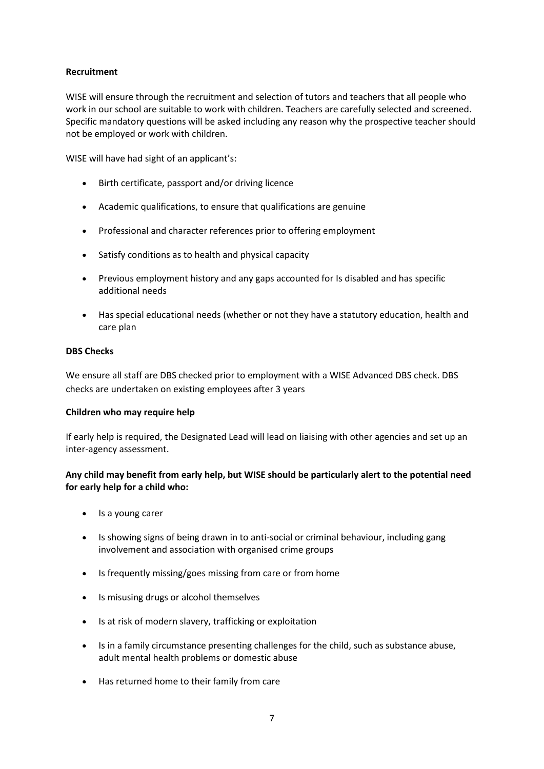# **Recruitment**

WISE will ensure through the recruitment and selection of tutors and teachers that all people who work in our school are suitable to work with children. Teachers are carefully selected and screened. Specific mandatory questions will be asked including any reason why the prospective teacher should not be employed or work with children.

WISE will have had sight of an applicant's:

- Birth certificate, passport and/or driving licence
- Academic qualifications, to ensure that qualifications are genuine
- Professional and character references prior to offering employment
- Satisfy conditions as to health and physical capacity
- Previous employment history and any gaps accounted for Is disabled and has specific additional needs
- Has special educational needs (whether or not they have a statutory education, health and care plan

### **DBS Checks**

We ensure all staff are DBS checked prior to employment with a WISE Advanced DBS check. DBS checks are undertaken on existing employees after 3 years

### **Children who may require help**

If early help is required, the Designated Lead will lead on liaising with other agencies and set up an inter-agency assessment.

# **Any child may benefit from early help, but WISE should be particularly alert to the potential need for early help for a child who:**

- Is a young carer
- Is showing signs of being drawn in to anti-social or criminal behaviour, including gang involvement and association with organised crime groups
- Is frequently missing/goes missing from care or from home
- Is misusing drugs or alcohol themselves
- Is at risk of modern slavery, trafficking or exploitation
- Is in a family circumstance presenting challenges for the child, such as substance abuse, adult mental health problems or domestic abuse
- Has returned home to their family from care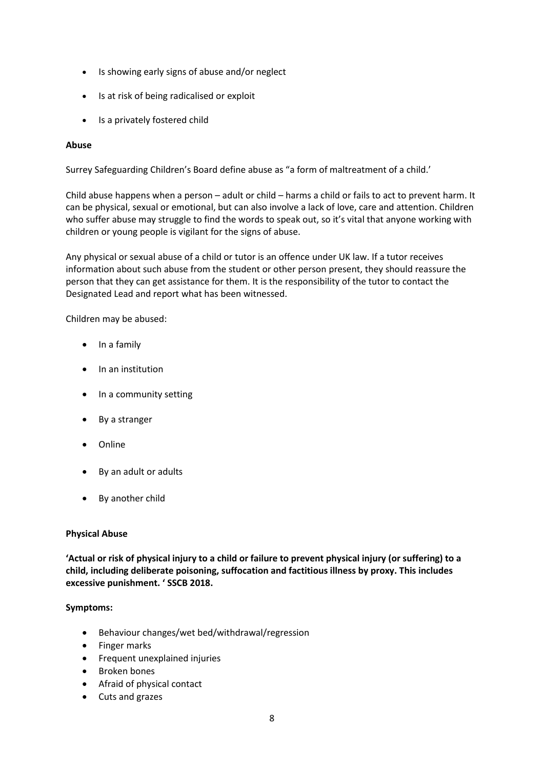- Is showing early signs of abuse and/or neglect
- Is at risk of being radicalised or exploit
- Is a privately fostered child

# **Abuse**

Surrey Safeguarding Children's Board define abuse as "a form of maltreatment of a child.'

Child abuse happens when a person – adult or child – harms a child or fails to act to prevent harm. It can be physical, sexual or emotional, but can also involve a lack of love, care and attention. Children who suffer abuse may struggle to find the words to speak out, so it's vital that anyone working with children or young people is vigilant for the signs of abuse.

Any physical or sexual abuse of a child or tutor is an offence unde[r UK law.](http://www.legislation.gov.uk/) If a tutor receives information about such abuse from the student or other person present, they should reassure the person that they can get assistance for them. It is the responsibility of the tutor to contact the Designated Lead and report what has been witnessed.

Children may be abused:

- In a family
- In an institution
- In a community setting
- By a stranger
- Online
- By an adult or adults
- By another child

### **Physical Abuse**

**'Actual or risk of physical injury to a child or failure to prevent physical injury (or suffering) to a child, including deliberate poisoning, suffocation and factitious illness by proxy. This includes excessive punishment. ' SSCB 2018.**

### **Symptoms:**

- Behaviour changes/wet bed/withdrawal/regression
- Finger marks
- Frequent unexplained injuries
- Broken bones
- Afraid of physical contact
- Cuts and grazes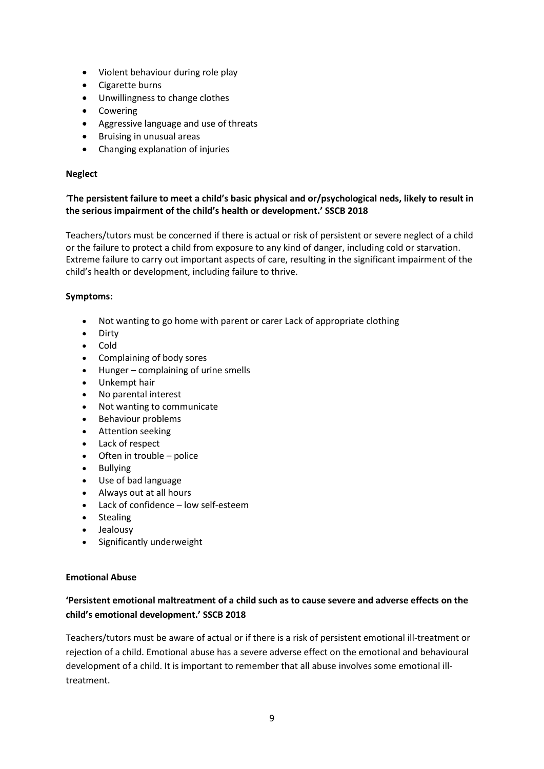- Violent behaviour during role play
- Cigarette burns
- Unwillingness to change clothes
- Cowering
- Aggressive language and use of threats
- **•** Bruising in unusual areas
- Changing explanation of injuries

# **Neglect**

# '**The persistent failure to meet a child's basic physical and or/psychological neds, likely to result in the serious impairment of the child's health or development.' SSCB 2018**

Teachers/tutors must be concerned if there is actual or risk of persistent or severe neglect of a child or the failure to protect a child from exposure to any kind of danger, including cold or starvation. Extreme failure to carry out important aspects of care, resulting in the significant impairment of the child's health or development, including failure to thrive.

# **Symptoms:**

- Not wanting to go home with parent or carer Lack of appropriate clothing
- Dirty
- Cold
- Complaining of body sores
- Hunger complaining of urine smells
- Unkempt hair
- No parental interest
- Not wanting to communicate
- Behaviour problems
- **•** Attention seeking
- Lack of respect
- Often in trouble police
- Bullying
- Use of bad language
- Always out at all hours
- Lack of confidence low self-esteem
- Stealing
- Jealousy
- Significantly underweight

# **Emotional Abuse**

# **'Persistent emotional maltreatment of a child such as to cause severe and adverse effects on the child's emotional development.' SSCB 2018**

Teachers/tutors must be aware of actual or if there is a risk of persistent emotional ill-treatment or rejection of a child. Emotional abuse has a severe adverse effect on the emotional and behavioural development of a child. It is important to remember that all abuse involves some emotional illtreatment.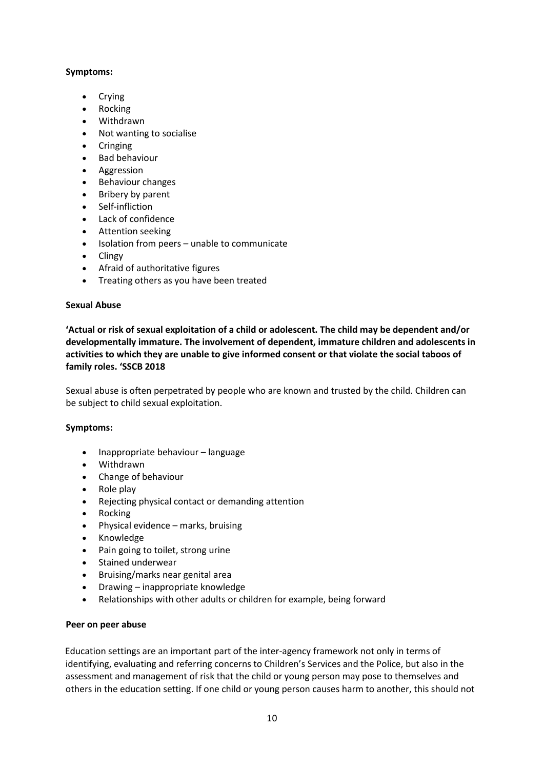# **Symptoms:**

- Crying
- Rocking
- Withdrawn
- Not wanting to socialise
- Cringing
- Bad behaviour
- Aggression
- Behaviour changes
- Bribery by parent
- Self-infliction
- Lack of confidence
- Attention seeking
- Isolation from peers unable to communicate
- **Clingy**
- Afraid of authoritative figures
- Treating others as you have been treated

### **Sexual Abuse**

**'Actual or risk of sexual exploitation of a child or adolescent. The child may be dependent and/or developmentally immature. The involvement of dependent, immature children and adolescents in activities to which they are unable to give informed consent or that violate the social taboos of family roles. 'SSCB 2018**

Sexual abuse is often perpetrated by people who are known and trusted by the child. Children can be subject to child sexual exploitation.

### **Symptoms:**

- Inappropriate behaviour language
- Withdrawn
- Change of behaviour
- $\bullet$  Role play
- Rejecting physical contact or demanding attention
- Rocking
- Physical evidence marks, bruising
- Knowledge
- Pain going to toilet, strong urine
- Stained underwear
- Bruising/marks near genital area
- Drawing inappropriate knowledge
- Relationships with other adults or children for example, being forward

### **Peer on peer abuse**

Education settings are an important part of the inter-agency framework not only in terms of identifying, evaluating and referring concerns to Children's Services and the Police, but also in the assessment and management of risk that the child or young person may pose to themselves and others in the education setting. If one child or young person causes harm to another, this should not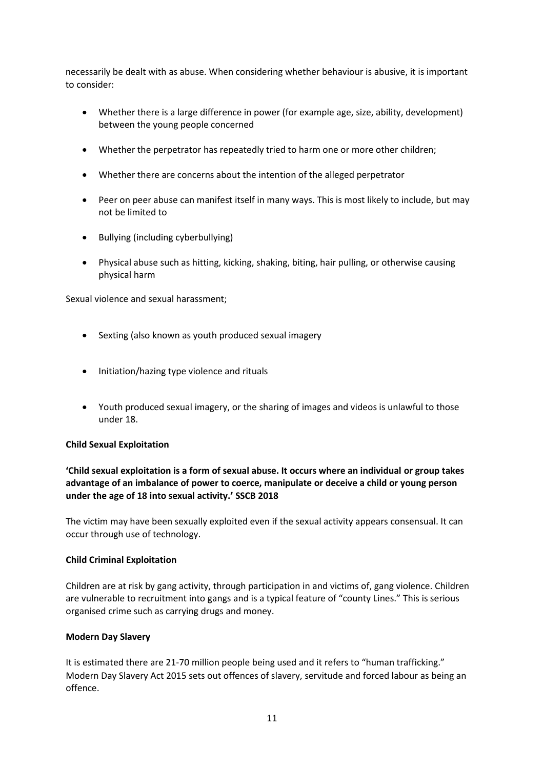necessarily be dealt with as abuse. When considering whether behaviour is abusive, it is important to consider:

- Whether there is a large difference in power (for example age, size, ability, development) between the young people concerned
- Whether the perpetrator has repeatedly tried to harm one or more other children;
- Whether there are concerns about the intention of the alleged perpetrator
- Peer on peer abuse can manifest itself in many ways. This is most likely to include, but may not be limited to
- Bullying (including cyberbullying)
- Physical abuse such as hitting, kicking, shaking, biting, hair pulling, or otherwise causing physical harm

Sexual violence and sexual harassment;

- Sexting (also known as youth produced sexual imagery
- Initiation/hazing type violence and rituals
- Youth produced sexual imagery, or the sharing of images and videos is unlawful to those under 18.

### **Child Sexual Exploitation**

# **'Child sexual exploitation is a form of sexual abuse. It occurs where an individual or group takes advantage of an imbalance of power to coerce, manipulate or deceive a child or young person under the age of 18 into sexual activity.' SSCB 2018**

The victim may have been sexually exploited even if the sexual activity appears consensual. It can occur through use of technology.

### **Child Criminal Exploitation**

Children are at risk by gang activity, through participation in and victims of, gang violence. Children are vulnerable to recruitment into gangs and is a typical feature of "county Lines." This is serious organised crime such as carrying drugs and money.

### **Modern Day Slavery**

It is estimated there are 21-70 million people being used and it refers to "human trafficking." Modern Day Slavery Act 2015 sets out offences of slavery, servitude and forced labour as being an offence.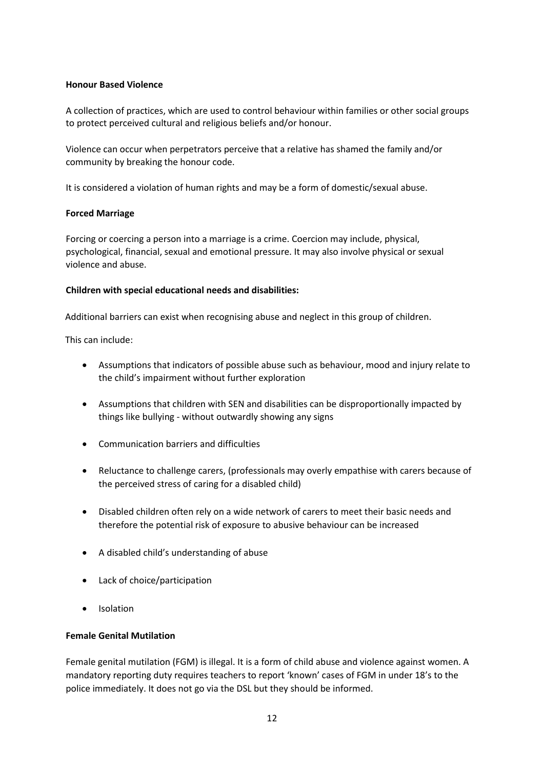### **Honour Based Violence**

A collection of practices, which are used to control behaviour within families or other social groups to protect perceived cultural and religious beliefs and/or honour.

Violence can occur when perpetrators perceive that a relative has shamed the family and/or community by breaking the honour code.

It is considered a violation of human rights and may be a form of domestic/sexual abuse.

# **Forced Marriage**

Forcing or coercing a person into a marriage is a crime. Coercion may include, physical, psychological, financial, sexual and emotional pressure. It may also involve physical or sexual violence and abuse.

# **Children with special educational needs and disabilities:**

Additional barriers can exist when recognising abuse and neglect in this group of children.

This can include:

- Assumptions that indicators of possible abuse such as behaviour, mood and injury relate to the child's impairment without further exploration
- Assumptions that children with SEN and disabilities can be disproportionally impacted by things like bullying - without outwardly showing any signs
- Communication barriers and difficulties
- Reluctance to challenge carers, (professionals may overly empathise with carers because of the perceived stress of caring for a disabled child)
- Disabled children often rely on a wide network of carers to meet their basic needs and therefore the potential risk of exposure to abusive behaviour can be increased
- A disabled child's understanding of abuse
- Lack of choice/participation
- Isolation

### **Female Genital Mutilation**

Female genital mutilation (FGM) is illegal. It is a form of child abuse and violence against women. A mandatory reporting duty requires teachers to report 'known' cases of FGM in under 18's to the police immediately. It does not go via the DSL but they should be informed.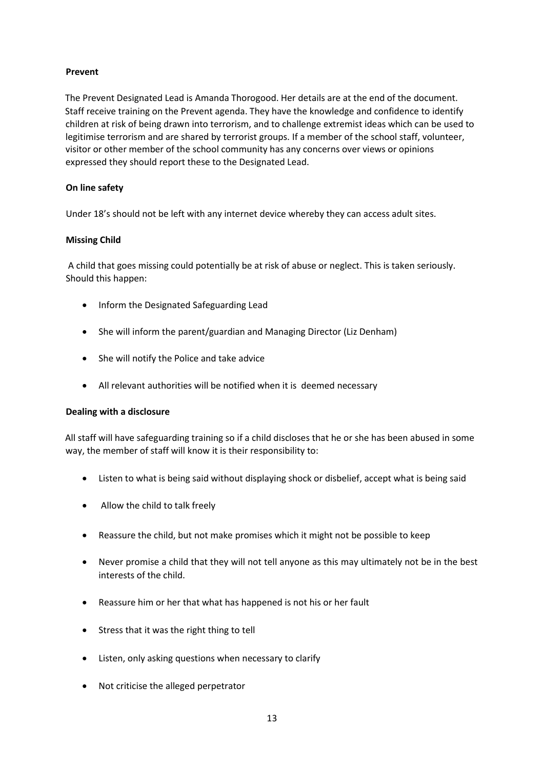# **Prevent**

The Prevent Designated Lead is Amanda Thorogood. Her details are at the end of the document. Staff receive training on the Prevent agenda. They have the knowledge and confidence to identify children at risk of being drawn into terrorism, and to challenge extremist ideas which can be used to legitimise terrorism and are shared by terrorist groups. If a member of the school staff, volunteer, visitor or other member of the school community has any concerns over views or opinions expressed they should report these to the Designated Lead.

# **On line safety**

Under 18's should not be left with any internet device whereby they can access adult sites.

### **Missing Child**

A child that goes missing could potentially be at risk of abuse or neglect. This is taken seriously. Should this happen:

- Inform the Designated Safeguarding Lead
- She will inform the parent/guardian and Managing Director (Liz Denham)
- She will notify the Police and take advice
- All relevant authorities will be notified when it is deemed necessary

### **Dealing with a disclosure**

All staff will have safeguarding training so if a child discloses that he or she has been abused in some way, the member of staff will know it is their responsibility to:

- Listen to what is being said without displaying shock or disbelief, accept what is being said
- Allow the child to talk freely
- Reassure the child, but not make promises which it might not be possible to keep
- Never promise a child that they will not tell anyone as this may ultimately not be in the best interests of the child.
- Reassure him or her that what has happened is not his or her fault
- Stress that it was the right thing to tell
- Listen, only asking questions when necessary to clarify
- Not criticise the alleged perpetrator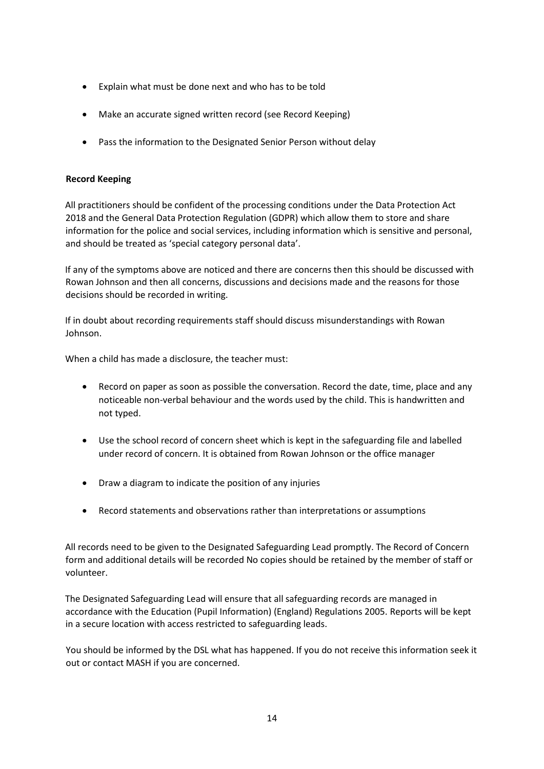- Explain what must be done next and who has to be told
- Make an accurate signed written record (see Record Keeping)
- Pass the information to the Designated Senior Person without delay

# **Record Keeping**

All practitioners should be confident of the processing conditions under the Data Protection Act 2018 and the General Data Protection Regulation (GDPR) which allow them to store and share information for the police and social services, including information which is sensitive and personal, and should be treated as 'special category personal data'.

If any of the symptoms above are noticed and there are concerns then this should be discussed with Rowan Johnson and then all concerns, discussions and decisions made and the reasons for those decisions should be recorded in writing.

If in doubt about recording requirements staff should discuss misunderstandings with Rowan Johnson.

When a child has made a disclosure, the teacher must:

- Record on paper as soon as possible the conversation. Record the date, time, place and any noticeable non-verbal behaviour and the words used by the child. This is handwritten and not typed.
- Use the school record of concern sheet which is kept in the safeguarding file and labelled under record of concern. It is obtained from Rowan Johnson or the office manager
- Draw a diagram to indicate the position of any injuries
- Record statements and observations rather than interpretations or assumptions

All records need to be given to the Designated Safeguarding Lead promptly. The Record of Concern form and additional details will be recorded No copies should be retained by the member of staff or volunteer.

The Designated Safeguarding Lead will ensure that all safeguarding records are managed in accordance with the Education (Pupil Information) (England) Regulations 2005. Reports will be kept in a secure location with access restricted to safeguarding leads.

You should be informed by the DSL what has happened. If you do not receive this information seek it out or contact MASH if you are concerned.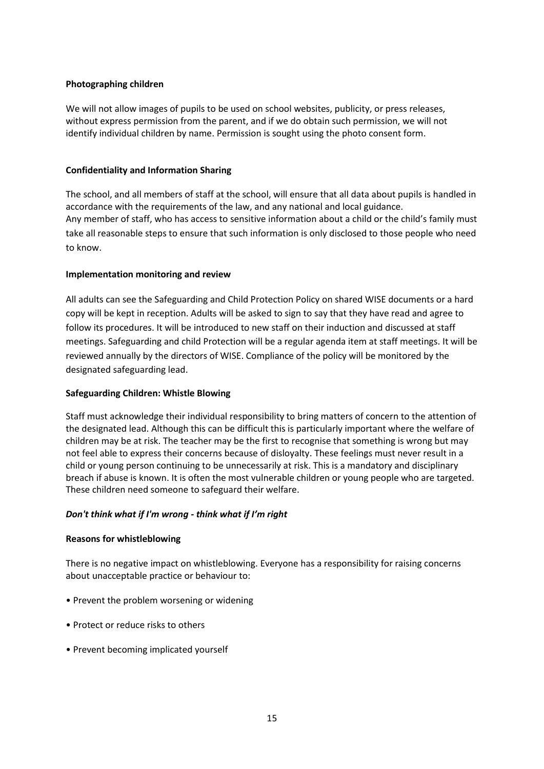### **Photographing children**

We will not allow images of pupils to be used on school websites, publicity, or press releases, without express permission from the parent, and if we do obtain such permission, we will not identify individual children by name. Permission is sought using the photo consent form.

### **Confidentiality and Information Sharing**

The school, and all members of staff at the school, will ensure that all data about pupils is handled in accordance with the requirements of the law, and any national and local guidance. Any member of staff, who has access to sensitive information about a child or the child's family must take all reasonable steps to ensure that such information is only disclosed to those people who need to know.

# **Implementation monitoring and review**

All adults can see the Safeguarding and Child Protection Policy on shared WISE documents or a hard copy will be kept in reception. Adults will be asked to sign to say that they have read and agree to follow its procedures. It will be introduced to new staff on their induction and discussed at staff meetings. Safeguarding and child Protection will be a regular agenda item at staff meetings. It will be reviewed annually by the directors of WISE. Compliance of the policy will be monitored by the designated safeguarding lead.

### **Safeguarding Children: Whistle Blowing**

Staff must acknowledge their individual responsibility to bring matters of concern to the attention of the designated lead. Although this can be difficult this is particularly important where the welfare of children may be at risk. The teacher may be the first to recognise that something is wrong but may not feel able to express their concerns because of disloyalty. These feelings must never result in a child or young person continuing to be unnecessarily at risk. This is a mandatory and disciplinary breach if abuse is known. It is often the most vulnerable children or young people who are targeted. These children need someone to safeguard their welfare.

### *Don't think what if I'm wrong - think what if I'm right*

### **Reasons for whistleblowing**

There is no negative impact on whistleblowing. Everyone has a responsibility for raising concerns about unacceptable practice or behaviour to:

- Prevent the problem worsening or widening
- Protect or reduce risks to others
- Prevent becoming implicated yourself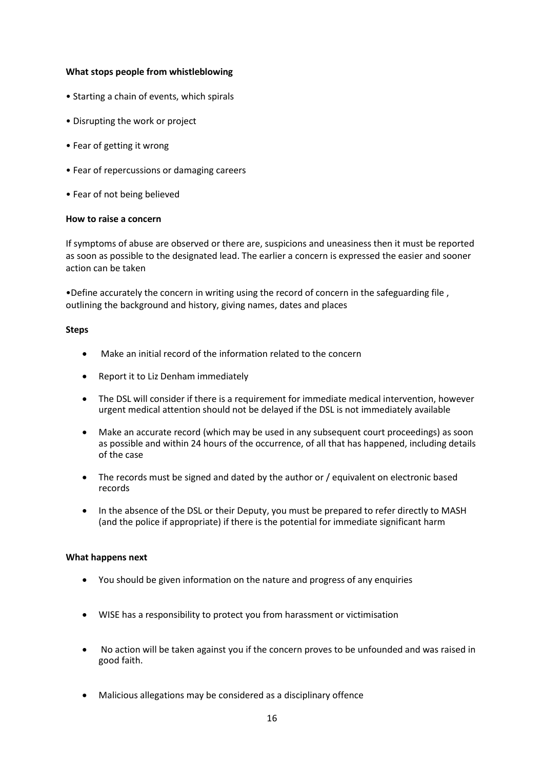### **What stops people from whistleblowing**

- Starting a chain of events, which spirals
- Disrupting the work or project
- Fear of getting it wrong
- Fear of repercussions or damaging careers
- Fear of not being believed

#### **How to raise a concern**

If symptoms of abuse are observed or there are, suspicions and uneasiness then it must be reported as soon as possible to the designated lead. The earlier a concern is expressed the easier and sooner action can be taken

•Define accurately the concern in writing using the record of concern in the safeguarding file , outlining the background and history, giving names, dates and places

#### **Steps**

- Make an initial record of the information related to the concern
- Report it to Liz Denham immediately
- The DSL will consider if there is a requirement for immediate medical intervention, however urgent medical attention should not be delayed if the DSL is not immediately available
- Make an accurate record (which may be used in any subsequent court proceedings) as soon as possible and within 24 hours of the occurrence, of all that has happened, including details of the case
- The records must be signed and dated by the author or / equivalent on electronic based records
- In the absence of the DSL or their Deputy, you must be prepared to refer directly to MASH (and the police if appropriate) if there is the potential for immediate significant harm

### **What happens next**

- You should be given information on the nature and progress of any enquiries
- WISE has a responsibility to protect you from harassment or victimisation
- No action will be taken against you if the concern proves to be unfounded and was raised in good faith.
- Malicious allegations may be considered as a disciplinary offence